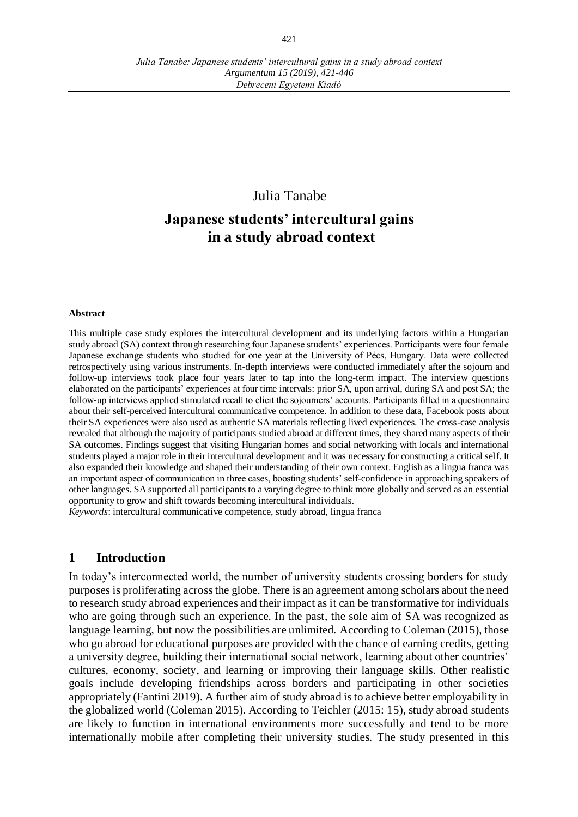*Debreceni Egyetemi Kiadó*

Julia Tanabe

# **Japanese students' intercultural gains in a study abroad context**

#### **Abstract**

This multiple case study explores the intercultural development and its underlying factors within a Hungarian study abroad (SA) context through researching four Japanese students' experiences. Participants were four female Japanese exchange students who studied for one year at the University of Pécs, Hungary. Data were collected retrospectively using various instruments. In-depth interviews were conducted immediately after the sojourn and follow-up interviews took place four years later to tap into the long-term impact. The interview questions elaborated on the participants' experiences at four time intervals: prior SA, upon arrival, during SA and post SA; the follow-up interviews applied stimulated recall to elicit the sojourners' accounts. Participants filled in a questionnaire about their self-perceived intercultural communicative competence. In addition to these data, Facebook posts about their SA experiences were also used as authentic SA materials reflecting lived experiences. The cross-case analysis revealed that although the majority of participants studied abroad at different times, they shared many aspects of their SA outcomes. Findings suggest that visiting Hungarian homes and social networking with locals and international students played a major role in their intercultural development and it was necessary for constructing a critical self. It also expanded their knowledge and shaped their understanding of their own context. English as a lingua franca was an important aspect of communication in three cases, boosting students' self-confidence in approaching speakers of other languages. SA supported all participants to a varying degree to think more globally and served as an essential opportunity to grow and shift towards becoming intercultural individuals.

*Keywords*: intercultural communicative competence, study abroad, lingua franca

#### **1 Introduction**

In today's interconnected world, the number of university students crossing borders for study purposes is proliferating across the globe. There is an agreement among scholars about the need to research study abroad experiences and their impact as it can be transformative for individuals who are going through such an experience. In the past, the sole aim of SA was recognized as language learning, but now the possibilities are unlimited. According to Coleman (2015), those who go abroad for educational purposes are provided with the chance of earning credits, getting a university degree, building their international social network, learning about other countries' cultures, economy, society, and learning or improving their language skills. Other realistic goals include developing friendships across borders and participating in other societies appropriately (Fantini 2019). A further aim of study abroad is to achieve better employability in the globalized world (Coleman 2015). According to Teichler (2015: 15), study abroad students are likely to function in international environments more successfully and tend to be more internationally mobile after completing their university studies. The study presented in this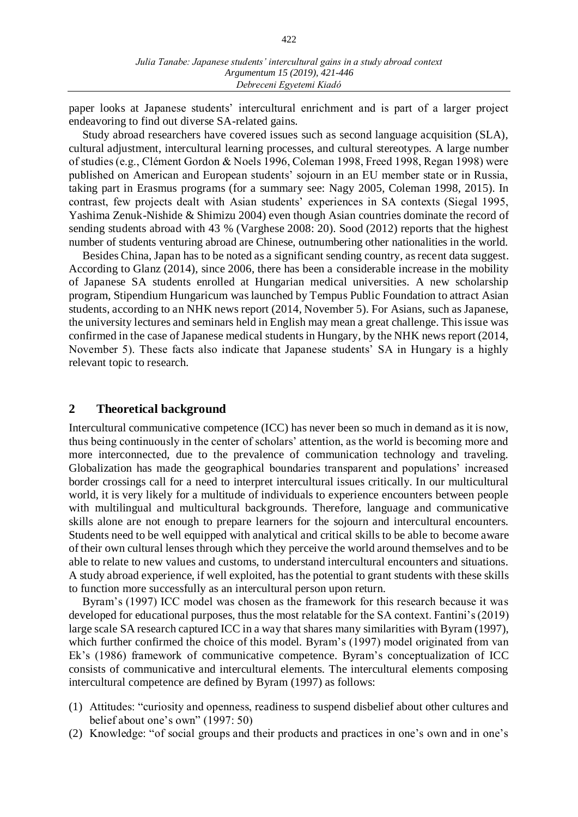paper looks at Japanese students' intercultural enrichment and is part of a larger project endeavoring to find out diverse SA-related gains.

Study abroad researchers have covered issues such as second language acquisition (SLA), cultural adjustment, intercultural learning processes, and cultural stereotypes. A large number of studies (e.g., Clément Gordon & Noels 1996, Coleman 1998, Freed 1998, Regan 1998) were published on American and European students' sojourn in an EU member state or in Russia, taking part in Erasmus programs (for a summary see: Nagy 2005, Coleman 1998, 2015). In contrast, few projects dealt with Asian students' experiences in SA contexts (Siegal 1995, Yashima Zenuk-Nishide & Shimizu 2004) even though Asian countries dominate the record of sending students abroad with 43 % (Varghese 2008: 20). Sood (2012) reports that the highest number of students venturing abroad are Chinese, outnumbering other nationalities in the world.

Besides China, Japan has to be noted as a significant sending country, as recent data suggest. According to Glanz (2014), since 2006, there has been a considerable increase in the mobility of Japanese SA students enrolled at Hungarian medical universities. A new scholarship program, Stipendium Hungaricum was launched by Tempus Public Foundation to attract Asian students, according to an NHK news report (2014, November 5). For Asians, such as Japanese, the university lectures and seminars held in English may mean a great challenge. This issue was confirmed in the case of Japanese medical students in Hungary, by the NHK news report (2014, November 5). These facts also indicate that Japanese students' SA in Hungary is a highly relevant topic to research.

#### **2 Theoretical background**

Intercultural communicative competence (ICC) has never been so much in demand as it is now, thus being continuously in the center of scholars' attention, as the world is becoming more and more interconnected, due to the prevalence of communication technology and traveling. Globalization has made the geographical boundaries transparent and populations' increased border crossings call for a need to interpret intercultural issues critically. In our multicultural world, it is very likely for a multitude of individuals to experience encounters between people with multilingual and multicultural backgrounds. Therefore, language and communicative skills alone are not enough to prepare learners for the sojourn and intercultural encounters. Students need to be well equipped with analytical and critical skills to be able to become aware of their own cultural lenses through which they perceive the world around themselves and to be able to relate to new values and customs, to understand intercultural encounters and situations. A study abroad experience, if well exploited, has the potential to grant students with these skills to function more successfully as an intercultural person upon return.

Byram's (1997) ICC model was chosen as the framework for this research because it was developed for educational purposes, thus the most relatable for the SA context. Fantini's (2019) large scale SA research captured ICC in a way that shares many similarities with Byram (1997), which further confirmed the choice of this model. Byram's (1997) model originated from van Ek's (1986) framework of communicative competence. Byram's conceptualization of ICC consists of communicative and intercultural elements. The intercultural elements composing intercultural competence are defined by Byram (1997) as follows:

- (1) Attitudes: "curiosity and openness, readiness to suspend disbelief about other cultures and belief about one's own" (1997: 50)
- (2) Knowledge: "of social groups and their products and practices in one's own and in one's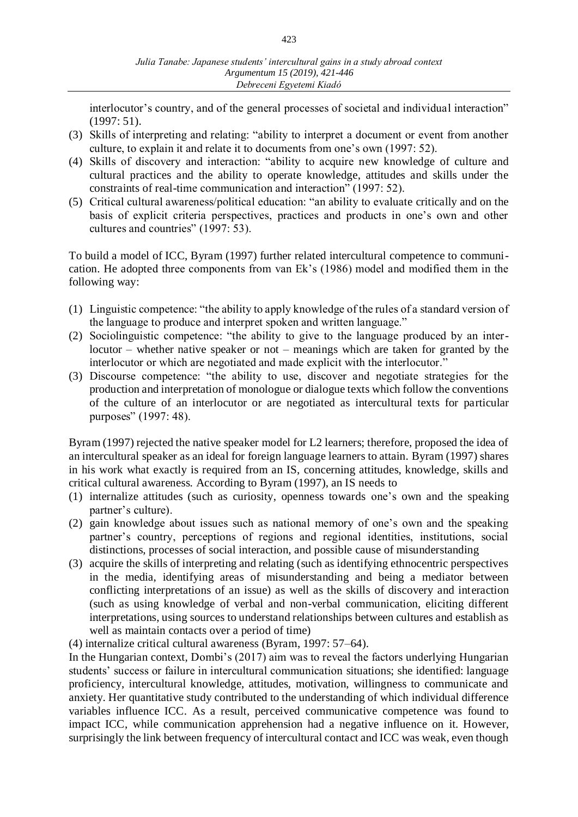interlocutor's country, and of the general processes of societal and individual interaction" (1997: 51).

- (3) Skills of interpreting and relating: "ability to interpret a document or event from another culture, to explain it and relate it to documents from one's own (1997: 52).
- (4) Skills of discovery and interaction: "ability to acquire new knowledge of culture and cultural practices and the ability to operate knowledge, attitudes and skills under the constraints of real-time communication and interaction" (1997: 52).
- (5) Critical cultural awareness/political education: "an ability to evaluate critically and on the basis of explicit criteria perspectives, practices and products in one's own and other cultures and countries" (1997: 53).

To build a model of ICC, Byram (1997) further related intercultural competence to communication. He adopted three components from van Ek's (1986) model and modified them in the following way:

- (1) Linguistic competence: "the ability to apply knowledge of the rules of a standard version of the language to produce and interpret spoken and written language."
- (2) Sociolinguistic competence: "the ability to give to the language produced by an interlocutor – whether native speaker or not – meanings which are taken for granted by the interlocutor or which are negotiated and made explicit with the interlocutor."
- (3) Discourse competence: "the ability to use, discover and negotiate strategies for the production and interpretation of monologue or dialogue texts which follow the conventions of the culture of an interlocutor or are negotiated as intercultural texts for particular purposes" (1997: 48).

Byram (1997) rejected the native speaker model for L2 learners; therefore, proposed the idea of an intercultural speaker as an ideal for foreign language learners to attain. Byram (1997) shares in his work what exactly is required from an IS, concerning attitudes, knowledge, skills and critical cultural awareness. According to Byram (1997), an IS needs to

- (1) internalize attitudes (such as curiosity, openness towards one's own and the speaking partner's culture).
- (2) gain knowledge about issues such as national memory of one's own and the speaking partner's country, perceptions of regions and regional identities, institutions, social distinctions, processes of social interaction, and possible cause of misunderstanding
- (3) acquire the skills of interpreting and relating (such as identifying ethnocentric perspectives in the media, identifying areas of misunderstanding and being a mediator between conflicting interpretations of an issue) as well as the skills of discovery and interaction (such as using knowledge of verbal and non-verbal communication, eliciting different interpretations, using sources to understand relationships between cultures and establish as well as maintain contacts over a period of time)

(4) internalize critical cultural awareness (Byram, 1997: 57–64).

In the Hungarian context, Dombi's (2017) aim was to reveal the factors underlying Hungarian students' success or failure in intercultural communication situations; she identified: language proficiency, intercultural knowledge, attitudes, motivation, willingness to communicate and anxiety. Her quantitative study contributed to the understanding of which individual difference variables influence ICC. As a result, perceived communicative competence was found to impact ICC, while communication apprehension had a negative influence on it. However, surprisingly the link between frequency of intercultural contact and ICC was weak, even though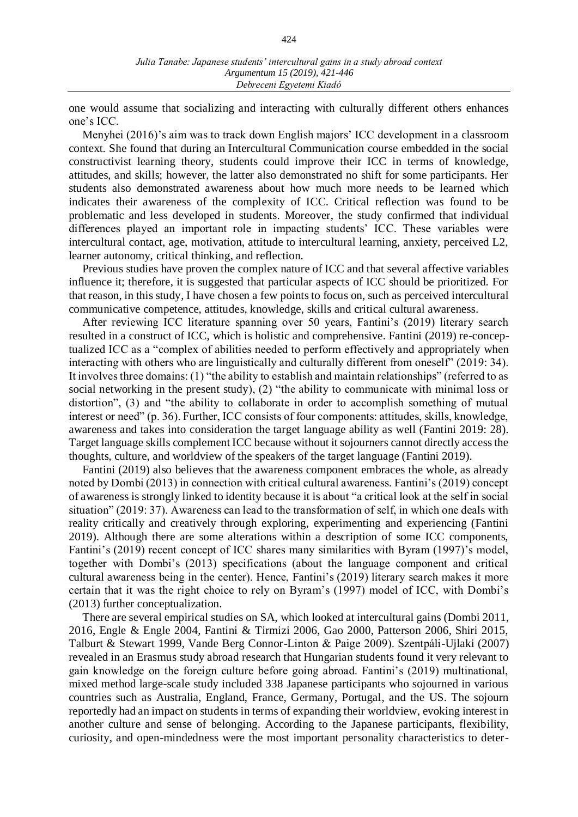one would assume that socializing and interacting with culturally different others enhances one's ICC.

Menyhei (2016)'s aim was to track down English majors' ICC development in a classroom context. She found that during an Intercultural Communication course embedded in the social constructivist learning theory, students could improve their ICC in terms of knowledge, attitudes, and skills; however, the latter also demonstrated no shift for some participants. Her students also demonstrated awareness about how much more needs to be learned which indicates their awareness of the complexity of ICC. Critical reflection was found to be problematic and less developed in students. Moreover, the study confirmed that individual differences played an important role in impacting students' ICC. These variables were intercultural contact, age, motivation, attitude to intercultural learning, anxiety, perceived L2, learner autonomy, critical thinking, and reflection.

Previous studies have proven the complex nature of ICC and that several affective variables influence it; therefore, it is suggested that particular aspects of ICC should be prioritized. For that reason, in this study, I have chosen a few points to focus on, such as perceived intercultural communicative competence, attitudes, knowledge, skills and critical cultural awareness.

After reviewing ICC literature spanning over 50 years, Fantini's (2019) literary search resulted in a construct of ICC, which is holistic and comprehensive. Fantini (2019) re-conceptualized ICC as a "complex of abilities needed to perform effectively and appropriately when interacting with others who are linguistically and culturally different from oneself" (2019: 34). It involves three domains: (1) "the ability to establish and maintain relationships" (referred to as social networking in the present study), (2) "the ability to communicate with minimal loss or distortion", (3) and "the ability to collaborate in order to accomplish something of mutual interest or need" (p. 36). Further, ICC consists of four components: attitudes, skills, knowledge, awareness and takes into consideration the target language ability as well (Fantini 2019: 28). Target language skills complement ICC because without it sojourners cannot directly access the thoughts, culture, and worldview of the speakers of the target language (Fantini 2019).

Fantini (2019) also believes that the awareness component embraces the whole, as already noted by Dombi (2013) in connection with critical cultural awareness. Fantini's (2019) concept of awareness is strongly linked to identity because it is about "a critical look at the self in social situation" (2019: 37). Awareness can lead to the transformation of self, in which one deals with reality critically and creatively through exploring, experimenting and experiencing (Fantini 2019). Although there are some alterations within a description of some ICC components, Fantini's (2019) recent concept of ICC shares many similarities with Byram (1997)'s model, together with Dombi's (2013) specifications (about the language component and critical cultural awareness being in the center). Hence, Fantini's (2019) literary search makes it more certain that it was the right choice to rely on Byram's (1997) model of ICC, with Dombi's (2013) further conceptualization.

There are several empirical studies on SA, which looked at intercultural gains (Dombi 2011, 2016, Engle & Engle 2004, Fantini & Tirmizi 2006, Gao 2000, Patterson 2006, Shiri 2015, Talburt & Stewart 1999, Vande Berg Connor-Linton & Paige 2009). Szentpáli-Ujlaki (2007) revealed in an Erasmus study abroad research that Hungarian students found it very relevant to gain knowledge on the foreign culture before going abroad. Fantini's (2019) multinational, mixed method large-scale study included 338 Japanese participants who sojourned in various countries such as Australia, England, France, Germany, Portugal, and the US. The sojourn reportedly had an impact on students in terms of expanding their worldview, evoking interest in another culture and sense of belonging. According to the Japanese participants, flexibility, curiosity, and open-mindedness were the most important personality characteristics to deter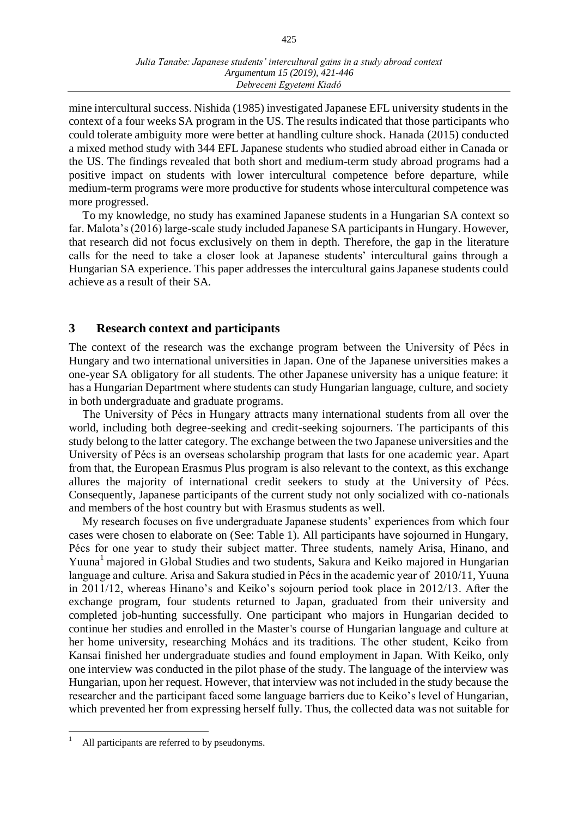mine intercultural success. Nishida (1985) investigated Japanese EFL university students in the context of a four weeks SA program in the US. The results indicated that those participants who could tolerate ambiguity more were better at handling culture shock. Hanada (2015) conducted a mixed method study with 344 EFL Japanese students who studied abroad either in Canada or the US. The findings revealed that both short and medium-term study abroad programs had a positive impact on students with lower intercultural competence before departure, while medium-term programs were more productive for students whose intercultural competence was more progressed.

To my knowledge, no study has examined Japanese students in a Hungarian SA context so far. Malota's (2016) large-scale study included Japanese SA participants in Hungary. However, that research did not focus exclusively on them in depth. Therefore, the gap in the literature calls for the need to take a closer look at Japanese students' intercultural gains through a Hungarian SA experience. This paper addresses the intercultural gains Japanese students could achieve as a result of their SA.

## **3 Research context and participants**

The context of the research was the exchange program between the University of Pécs in Hungary and two international universities in Japan. One of the Japanese universities makes a one-year SA obligatory for all students. The other Japanese university has a unique feature: it has a Hungarian Department where students can study Hungarian language, culture, and society in both undergraduate and graduate programs.

The University of Pécs in Hungary attracts many international students from all over the world, including both degree-seeking and credit-seeking sojourners. The participants of this study belong to the latter category. The exchange between the two Japanese universities and the University of Pécs is an overseas scholarship program that lasts for one academic year. Apart from that, the European Erasmus Plus program is also relevant to the context, as this exchange allures the majority of international credit seekers to study at the University of Pécs. Consequently, Japanese participants of the current study not only socialized with co-nationals and members of the host country but with Erasmus students as well.

My research focuses on five undergraduate Japanese students' experiences from which four cases were chosen to elaborate on (See: Table 1). All participants have sojourned in Hungary, Pécs for one year to study their subject matter. Three students, namely Arisa, Hinano, and Yuuna<sup>1</sup> majored in Global Studies and two students, Sakura and Keiko majored in Hungarian language and culture. Arisa and Sakura studied in Pécs in the academic year of 2010/11, Yuuna in 2011/12, whereas Hinano's and Keiko's sojourn period took place in 2012/13. After the exchange program, four students returned to Japan, graduated from their university and completed job-hunting successfully. One participant who majors in Hungarian decided to continue her studies and enrolled in the Master's course of Hungarian language and culture at her home university, researching Mohács and its traditions. The other student, Keiko from Kansai finished her undergraduate studies and found employment in Japan. With Keiko, only one interview was conducted in the pilot phase of the study. The language of the interview was Hungarian, upon her request. However, that interview was not included in the study because the researcher and the participant faced some language barriers due to Keiko's level of Hungarian, which prevented her from expressing herself fully. Thus, the collected data was not suitable for

All participants are referred to by pseudonyms.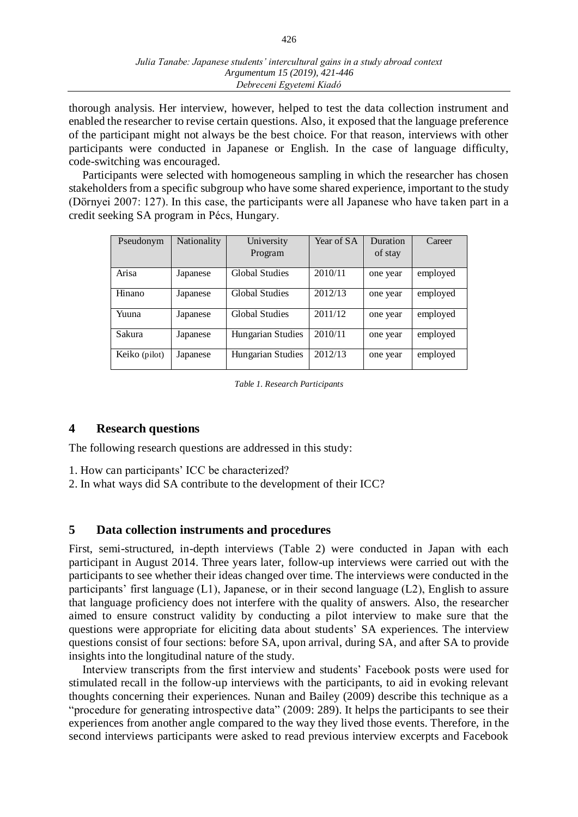thorough analysis. Her interview, however, helped to test the data collection instrument and enabled the researcher to revise certain questions. Also, it exposed that the language preference of the participant might not always be the best choice. For that reason, interviews with other participants were conducted in Japanese or English. In the case of language difficulty, code-switching was encouraged.

Participants were selected with homogeneous sampling in which the researcher has chosen stakeholders from a specific subgroup who have some shared experience, important to the study (Dörnyei 2007: 127). In this case, the participants were all Japanese who have taken part in a credit seeking SA program in Pécs, Hungary.

| Pseudonym     | <b>Nationality</b> | University            | Year of SA | Duration | Career   |
|---------------|--------------------|-----------------------|------------|----------|----------|
|               |                    | Program               |            | of stay  |          |
| Arisa         | Japanese           | Global Studies        | 2010/11    | one year | employed |
| Hinano        | Japanese           | Global Studies        | 2012/13    | one year | employed |
| Yuuna         | Japanese           | <b>Global Studies</b> | 2011/12    | one year | employed |
| Sakura        | Japanese           | Hungarian Studies     | 2010/11    | one year | employed |
| Keiko (pilot) | Japanese           | Hungarian Studies     | 2012/13    | one year | employed |

*Table 1. Research Participants*

## **4 Research questions**

The following research questions are addressed in this study:

- 1. How can participants' ICC be characterized?
- 2. In what ways did SA contribute to the development of their ICC?

## **5 Data collection instruments and procedures**

First, semi-structured, in-depth interviews (Table 2) were conducted in Japan with each participant in August 2014. Three years later, follow-up interviews were carried out with the participants to see whether their ideas changed over time. The interviews were conducted in the participants' first language (L1), Japanese, or in their second language (L2), English to assure that language proficiency does not interfere with the quality of answers. Also, the researcher aimed to ensure construct validity by conducting a pilot interview to make sure that the questions were appropriate for eliciting data about students' SA experiences. The interview questions consist of four sections: before SA, upon arrival, during SA, and after SA to provide insights into the longitudinal nature of the study.

Interview transcripts from the first interview and students' Facebook posts were used for stimulated recall in the follow-up interviews with the participants, to aid in evoking relevant thoughts concerning their experiences. Nunan and Bailey (2009) describe this technique as a "procedure for generating introspective data" (2009: 289). It helps the participants to see their experiences from another angle compared to the way they lived those events. Therefore, in the second interviews participants were asked to read previous interview excerpts and Facebook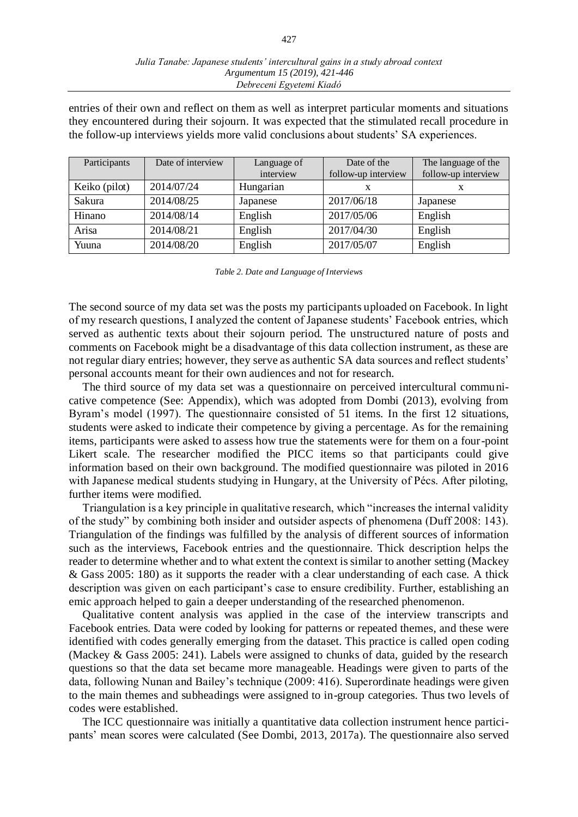entries of their own and reflect on them as well as interpret particular moments and situations they encountered during their sojourn. It was expected that the stimulated recall procedure in the follow-up interviews yields more valid conclusions about students' SA experiences.

| Participants  | Date of interview | Language of | Date of the         | The language of the |
|---------------|-------------------|-------------|---------------------|---------------------|
|               |                   | interview   | follow-up interview | follow-up interview |
| Keiko (pilot) | 2014/07/24        | Hungarian   |                     | x                   |
| Sakura        | 2014/08/25        | Japanese    | 2017/06/18          | Japanese            |
| Hinano        | 2014/08/14        | English     | 2017/05/06          | English             |
| Arisa         | 2014/08/21        | English     | 2017/04/30          | English             |
| Yuuna         | 2014/08/20        | English     | 2017/05/07          | English             |

*Table 2. Date and Language of Interviews*

The second source of my data set was the posts my participants uploaded on Facebook. In light of my research questions, I analyzed the content of Japanese students' Facebook entries, which served as authentic texts about their sojourn period. The unstructured nature of posts and comments on Facebook might be a disadvantage of this data collection instrument, as these are not regular diary entries; however, they serve as authentic SA data sources and reflect students' personal accounts meant for their own audiences and not for research.

The third source of my data set was a questionnaire on perceived intercultural communicative competence (See: Appendix), which was adopted from Dombi (2013), evolving from Byram's model (1997). The questionnaire consisted of 51 items. In the first 12 situations, students were asked to indicate their competence by giving a percentage. As for the remaining items, participants were asked to assess how true the statements were for them on a four-point Likert scale. The researcher modified the PICC items so that participants could give information based on their own background. The modified questionnaire was piloted in 2016 with Japanese medical students studying in Hungary, at the University of Pécs. After piloting, further items were modified.

Triangulation is a key principle in qualitative research, which "increases the internal validity of the study" by combining both insider and outsider aspects of phenomena (Duff 2008: 143). Triangulation of the findings was fulfilled by the analysis of different sources of information such as the interviews, Facebook entries and the questionnaire. Thick description helps the reader to determine whether and to what extent the context is similar to another setting (Mackey & Gass 2005: 180) as it supports the reader with a clear understanding of each case. A thick description was given on each participant's case to ensure credibility. Further, establishing an emic approach helped to gain a deeper understanding of the researched phenomenon.

Qualitative content analysis was applied in the case of the interview transcripts and Facebook entries. Data were coded by looking for patterns or repeated themes, and these were identified with codes generally emerging from the dataset. This practice is called open coding (Mackey & Gass 2005: 241). Labels were assigned to chunks of data, guided by the research questions so that the data set became more manageable. Headings were given to parts of the data, following Nunan and Bailey's technique (2009: 416). Superordinate headings were given to the main themes and subheadings were assigned to in-group categories. Thus two levels of codes were established.

The ICC questionnaire was initially a quantitative data collection instrument hence participants' mean scores were calculated (See Dombi, 2013, 2017a). The questionnaire also served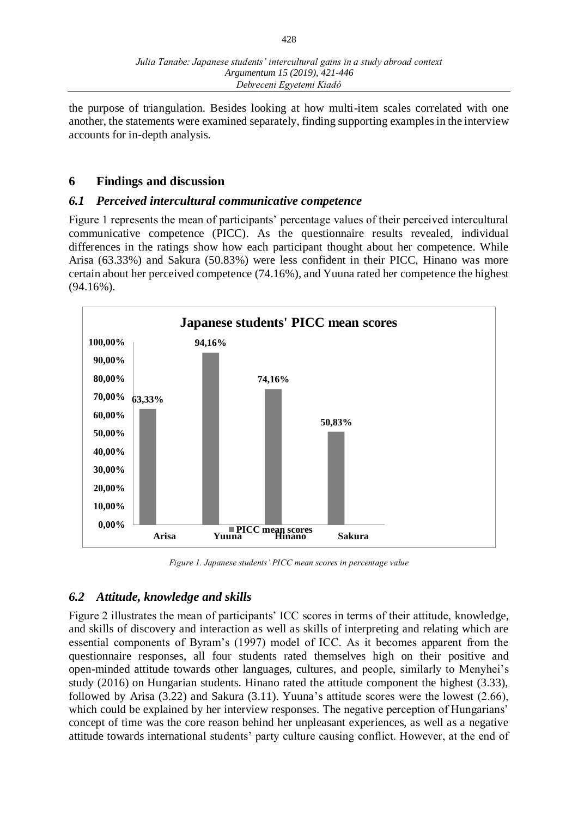the purpose of triangulation. Besides looking at how multi-item scales correlated with one another, the statements were examined separately, finding supporting examples in the interview accounts for in-depth analysis.

# **6 Findings and discussion**

# *6.1 Perceived intercultural communicative competence*

Figure 1 represents the mean of participants' percentage values of their perceived intercultural communicative competence (PICC). As the questionnaire results revealed, individual differences in the ratings show how each participant thought about her competence. While Arisa (63.33%) and Sakura (50.83%) were less confident in their PICC, Hinano was more certain about her perceived competence (74.16%), and Yuuna rated her competence the highest (94.16%).



*Figure 1. Japanese students' PICC mean scores in percentage value*

# *6.2 Attitude, knowledge and skills*

Figure 2 illustrates the mean of participants' ICC scores in terms of their attitude, knowledge, and skills of discovery and interaction as well as skills of interpreting and relating which are essential components of Byram's (1997) model of ICC. As it becomes apparent from the questionnaire responses, all four students rated themselves high on their positive and open-minded attitude towards other languages, cultures, and people, similarly to Menyhei's study (2016) on Hungarian students. Hinano rated the attitude component the highest (3.33), followed by Arisa (3.22) and Sakura (3.11). Yuuna's attitude scores were the lowest (2.66), which could be explained by her interview responses. The negative perception of Hungarians' concept of time was the core reason behind her unpleasant experiences, as well as a negative attitude towards international students' party culture causing conflict. However, at the end of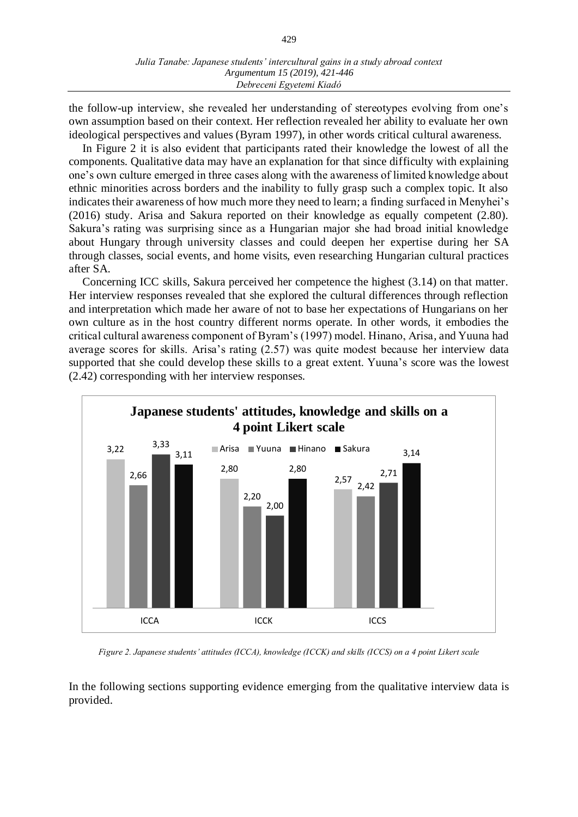the follow-up interview, she revealed her understanding of stereotypes evolving from one's own assumption based on their context. Her reflection revealed her ability to evaluate her own ideological perspectives and values (Byram 1997), in other words critical cultural awareness.

In Figure 2 it is also evident that participants rated their knowledge the lowest of all the components. Qualitative data may have an explanation for that since difficulty with explaining one's own culture emerged in three cases along with the awareness of limited knowledge about ethnic minorities across borders and the inability to fully grasp such a complex topic. It also indicates their awareness of how much more they need to learn; a finding surfaced in Menyhei's (2016) study. Arisa and Sakura reported on their knowledge as equally competent (2.80). Sakura's rating was surprising since as a Hungarian major she had broad initial knowledge about Hungary through university classes and could deepen her expertise during her SA through classes, social events, and home visits, even researching Hungarian cultural practices after SA.

Concerning ICC skills, Sakura perceived her competence the highest (3.14) on that matter. Her interview responses revealed that she explored the cultural differences through reflection and interpretation which made her aware of not to base her expectations of Hungarians on her own culture as in the host country different norms operate. In other words, it embodies the critical cultural awareness component of Byram's (1997) model. Hinano, Arisa, and Yuuna had average scores for skills. Arisa's rating (2.57) was quite modest because her interview data supported that she could develop these skills to a great extent. Yuuna's score was the lowest (2.42) corresponding with her interview responses.



*Figure 2. Japanese students' attitudes (ICCA), knowledge (ICCK) and skills (ICCS) on a 4 point Likert scale*

In the following sections supporting evidence emerging from the qualitative interview data is provided.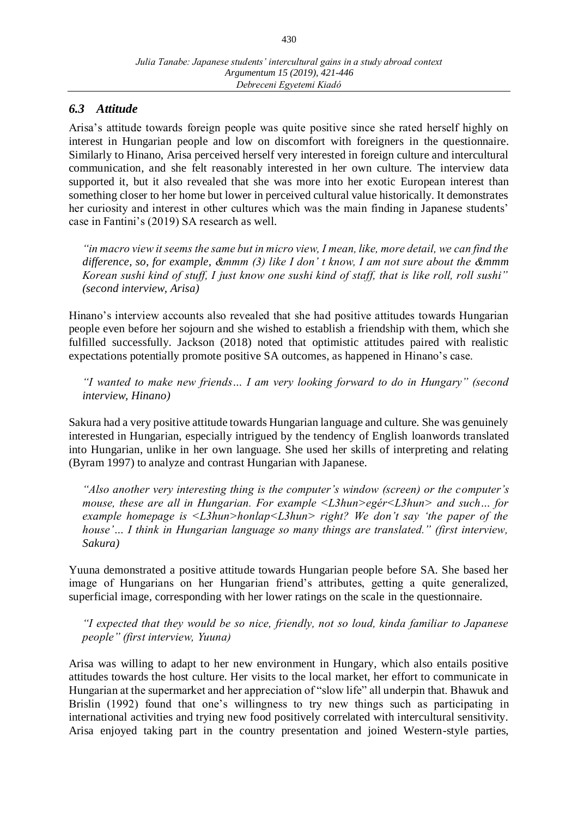# *6.3 Attitude*

Arisa's attitude towards foreign people was quite positive since she rated herself highly on interest in Hungarian people and low on discomfort with foreigners in the questionnaire. Similarly to Hinano, Arisa perceived herself very interested in foreign culture and intercultural communication, and she felt reasonably interested in her own culture. The interview data supported it, but it also revealed that she was more into her exotic European interest than something closer to her home but lower in perceived cultural value historically. It demonstrates her curiosity and interest in other cultures which was the main finding in Japanese students' case in Fantini's (2019) SA research as well.

*"in macro view it seems the same but in micro view, I mean, like, more detail, we can find the difference, so, for example, &mmm (3) like I don' t know, I am not sure about the &mmm Korean sushi kind of stuff, I just know one sushi kind of staff, that is like roll, roll sushi" (second interview, Arisa)*

Hinano's interview accounts also revealed that she had positive attitudes towards Hungarian people even before her sojourn and she wished to establish a friendship with them, which she fulfilled successfully. Jackson (2018) noted that optimistic attitudes paired with realistic expectations potentially promote positive SA outcomes, as happened in Hinano's case.

*"I wanted to make new friends… I am very looking forward to do in Hungary" (second interview, Hinano)*

Sakura had a very positive attitude towards Hungarian language and culture. She was genuinely interested in Hungarian, especially intrigued by the tendency of English loanwords translated into Hungarian, unlike in her own language. She used her skills of interpreting and relating (Byram 1997) to analyze and contrast Hungarian with Japanese.

*"Also another very interesting thing is the computer's window (screen) or the computer's mouse, these are all in Hungarian. For example <L3hun>egér<L3hun> and such… for example homepage is <L3hun>honlap<L3hun> right? We don't say 'the paper of the house'… I think in Hungarian language so many things are translated." (first interview, Sakura)*

Yuuna demonstrated a positive attitude towards Hungarian people before SA. She based her image of Hungarians on her Hungarian friend's attributes, getting a quite generalized, superficial image, corresponding with her lower ratings on the scale in the questionnaire.

*"I expected that they would be so nice, friendly, not so loud, kinda familiar to Japanese people" (first interview, Yuuna)*

Arisa was willing to adapt to her new environment in Hungary, which also entails positive attitudes towards the host culture. Her visits to the local market, her effort to communicate in Hungarian at the supermarket and her appreciation of "slow life" all underpin that. Bhawuk and Brislin (1992) found that one's willingness to try new things such as participating in international activities and trying new food positively correlated with intercultural sensitivity. Arisa enjoyed taking part in the country presentation and joined Western-style parties,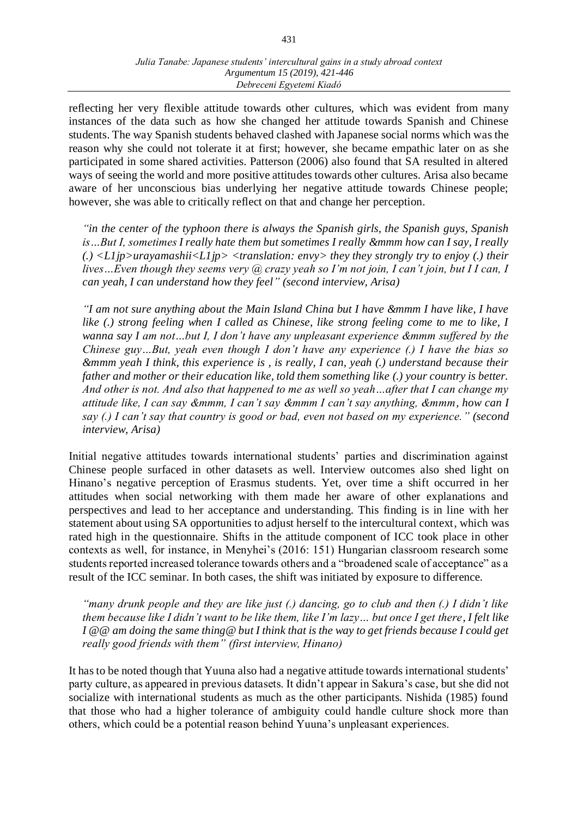reflecting her very flexible attitude towards other cultures, which was evident from many instances of the data such as how she changed her attitude towards Spanish and Chinese students. The way Spanish students behaved clashed with Japanese social norms which was the reason why she could not tolerate it at first; however, she became empathic later on as she participated in some shared activities. Patterson (2006) also found that SA resulted in altered ways of seeing the world and more positive attitudes towards other cultures. Arisa also became aware of her unconscious bias underlying her negative attitude towards Chinese people; however, she was able to critically reflect on that and change her perception.

*"in the center of the typhoon there is always the Spanish girls, the Spanish guys, Spanish is…But I, sometimes I really hate them but sometimes I really &mmm how can I say, I really (.) <L1jp>urayamashii<L1jp> <translation: envy> they they strongly try to enjoy (.) their lives…Even though they seems very @ crazy yeah so I'm not join, I can't join, but I I can, I can yeah, I can understand how they feel" (second interview, Arisa)*

*"I am not sure anything about the Main Island China but I have &mmm I have like, I have like (.) strong feeling when I called as Chinese, like strong feeling come to me to like, I wanna say I am not…but I, I don't have any unpleasant experience &mmm suffered by the Chinese guy…But, yeah even though I don't have any experience (.) I have the bias so &mmm yeah I think, this experience is , is really, I can, yeah (.) understand because their father and mother or their education like, told them something like (.) your country is better. And other is not. And also that happened to me as well so yeah…after that I can change my attitude like, I can say &mmm, I can't say &mmm I can't say anything, &mmm, how can I say (.) I can't say that country is good or bad, even not based on my experience." (second interview, Arisa)*

Initial negative attitudes towards international students' parties and discrimination against Chinese people surfaced in other datasets as well. Interview outcomes also shed light on Hinano's negative perception of Erasmus students. Yet, over time a shift occurred in her attitudes when social networking with them made her aware of other explanations and perspectives and lead to her acceptance and understanding. This finding is in line with her statement about using SA opportunities to adjust herself to the intercultural context, which was rated high in the questionnaire. Shifts in the attitude component of ICC took place in other contexts as well, for instance, in Menyhei's (2016: 151) Hungarian classroom research some students reported increased tolerance towards others and a "broadened scale of acceptance" as a result of the ICC seminar. In both cases, the shift was initiated by exposure to difference.

*"many drunk people and they are like just (.) dancing, go to club and then (.) I didn't like them because like I didn't want to be like them, like I'm lazy… but once I get there, I felt like I @@ am doing the same thing@ but I think that is the way to get friends because I could get really good friends with them" (first interview, Hinano)*

It has to be noted though that Yuuna also had a negative attitude towards international students' party culture, as appeared in previous datasets. It didn't appear in Sakura's case, but she did not socialize with international students as much as the other participants. Nishida (1985) found that those who had a higher tolerance of ambiguity could handle culture shock more than others, which could be a potential reason behind Yuuna's unpleasant experiences.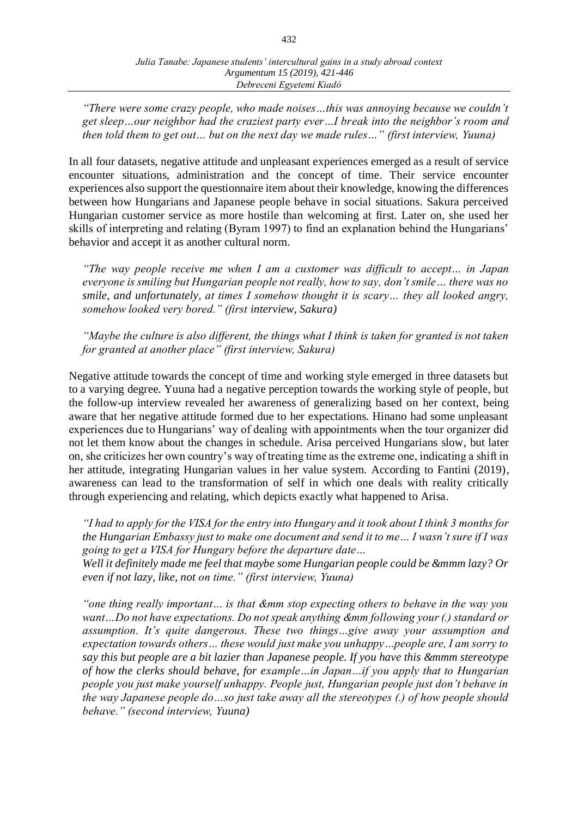*"There were some crazy people, who made noises…this was annoying because we couldn't get sleep…our neighbor had the craziest party ever…I break into the neighbor's room and then told them to get out… but on the next day we made rules…" (first interview, Yuuna)*

In all four datasets, negative attitude and unpleasant experiences emerged as a result of service encounter situations, administration and the concept of time. Their service encounter experiences also support the questionnaire item about their knowledge, knowing the differences between how Hungarians and Japanese people behave in social situations. Sakura perceived Hungarian customer service as more hostile than welcoming at first. Later on, she used her skills of interpreting and relating (Byram 1997) to find an explanation behind the Hungarians' behavior and accept it as another cultural norm.

*"The way people receive me when I am a customer was difficult to accept… in Japan everyone is smiling but Hungarian people not really, how to say, don't smile… there was no smile, and unfortunately, at times I somehow thought it is scary… they all looked angry, somehow looked very bored." (first interview, Sakura)*

*"Maybe the culture is also different, the things what I think is taken for granted is not taken for granted at another place" (first interview, Sakura)* 

Negative attitude towards the concept of time and working style emerged in three datasets but to a varying degree. Yuuna had a negative perception towards the working style of people, but the follow-up interview revealed her awareness of generalizing based on her context, being aware that her negative attitude formed due to her expectations. Hinano had some unpleasant experiences due to Hungarians' way of dealing with appointments when the tour organizer did not let them know about the changes in schedule. Arisa perceived Hungarians slow, but later on, she criticizes her own country's way of treating time as the extreme one, indicating a shift in her attitude, integrating Hungarian values in her value system. According to Fantini (2019), awareness can lead to the transformation of self in which one deals with reality critically through experiencing and relating, which depicts exactly what happened to Arisa.

*"I had to apply for the VISA for the entry into Hungary and it took about I think 3 months for the Hungarian Embassy just to make one document and send it to me… I wasn't sure if I was going to get a VISA for Hungary before the departure date…*

*Well it definitely made me feel that maybe some Hungarian people could be &mmm lazy? Or even if not lazy, like, not on time." (first interview, Yuuna)*

*"one thing really important… is that &mm stop expecting others to behave in the way you want…Do not have expectations. Do not speak anything &mm following your (.) standard or assumption. It's quite dangerous. These two things…give away your assumption and expectation towards others… these would just make you unhappy…people are, I am sorry to say this but people are a bit lazier than Japanese people. If you have this &mmm stereotype of how the clerks should behave, for example…in Japan…if you apply that to Hungarian people you just make yourself unhappy. People just, Hungarian people just don't behave in the way Japanese people do…so just take away all the stereotypes (.) of how people should behave." (second interview, Yuuna)*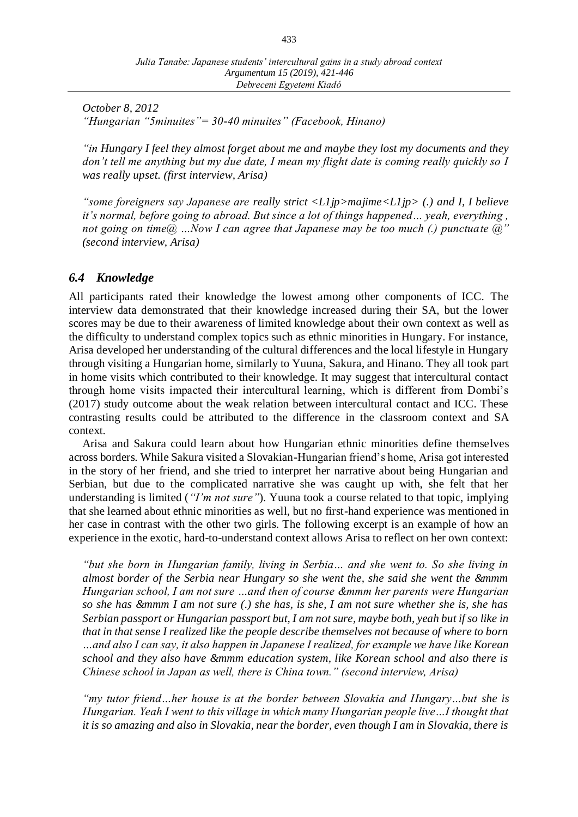*October 8, 2012 "Hungarian "5minuites"= 30-40 minuites" (Facebook, Hinano)*

*"in Hungary I feel they almost forget about me and maybe they lost my documents and they don't tell me anything but my due date, I mean my flight date is coming really quickly so I was really upset. (first interview, Arisa)*

*"some foreigners say Japanese are really strict <L1jp>majime<L1jp> (.) and I, I believe it's normal, before going to abroad. But since a lot of things happened... yeah, everything, not going on time@ …Now I can agree that Japanese may be too much (.) punctuate @" (second interview, Arisa)*

## *6.4 Knowledge*

All participants rated their knowledge the lowest among other components of ICC. The interview data demonstrated that their knowledge increased during their SA, but the lower scores may be due to their awareness of limited knowledge about their own context as well as the difficulty to understand complex topics such as ethnic minorities in Hungary. For instance, Arisa developed her understanding of the cultural differences and the local lifestyle in Hungary through visiting a Hungarian home, similarly to Yuuna, Sakura, and Hinano. They all took part in home visits which contributed to their knowledge. It may suggest that intercultural contact through home visits impacted their intercultural learning, which is different from Dombi's (2017) study outcome about the weak relation between intercultural contact and ICC. These contrasting results could be attributed to the difference in the classroom context and SA context.

Arisa and Sakura could learn about how Hungarian ethnic minorities define themselves across borders. While Sakura visited a Slovakian-Hungarian friend's home, Arisa got interested in the story of her friend, and she tried to interpret her narrative about being Hungarian and Serbian, but due to the complicated narrative she was caught up with, she felt that her understanding is limited (*"I'm not sure"*). Yuuna took a course related to that topic, implying that she learned about ethnic minorities as well, but no first-hand experience was mentioned in her case in contrast with the other two girls. The following excerpt is an example of how an experience in the exotic, hard-to-understand context allows Arisa to reflect on her own context:

*"but she born in Hungarian family, living in Serbia… and she went to. So she living in almost border of the Serbia near Hungary so she went the, she said she went the &mmm Hungarian school, I am not sure …and then of course &mmm her parents were Hungarian so she has &mmm I am not sure (.) she has, is she, I am not sure whether she is, she has Serbian passport or Hungarian passport but, I am not sure, maybe both, yeah but if so like in that in that sense I realized like the people describe themselves not because of where to born …and also I can say, it also happen in Japanese I realized, for example we have like Korean school and they also have &mmm education system, like Korean school and also there is Chinese school in Japan as well, there is China town." (second interview, Arisa)*

*"my tutor friend…her house is at the border between Slovakia and Hungary…but she is Hungarian. Yeah I went to this village in which many Hungarian people live…I thought that it is so amazing and also in Slovakia, near the border, even though I am in Slovakia, there is*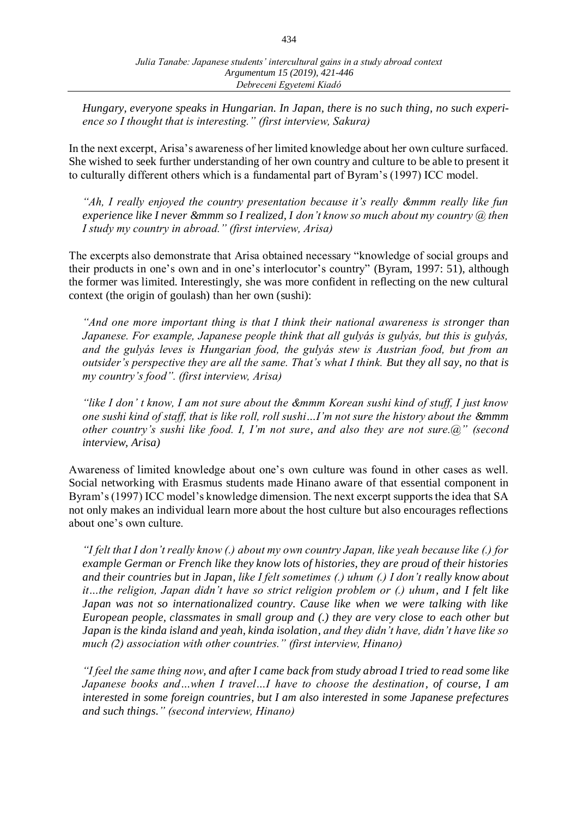*Hungary, everyone speaks in Hungarian. In Japan, there is no such thing, no such experience so I thought that is interesting." (first interview, Sakura)* 

In the next excerpt, Arisa's awareness of her limited knowledge about her own culture surfaced. She wished to seek further understanding of her own country and culture to be able to present it to culturally different others which is a fundamental part of Byram's (1997) ICC model.

*"Ah, I really enjoyed the country presentation because it's really &mmm really like fun experience like I never &mmm so I realized, I don't know so much about my country @ then I study my country in abroad." (first interview, Arisa)*

The excerpts also demonstrate that Arisa obtained necessary "knowledge of social groups and their products in one's own and in one's interlocutor's country" (Byram, 1997: 51), although the former was limited. Interestingly, she was more confident in reflecting on the new cultural context (the origin of goulash) than her own (sushi):

*"And one more important thing is that I think their national awareness is stronger than Japanese. For example, Japanese people think that all gulyás is gulyás, but this is gulyás, and the gulyás leves is Hungarian food, the gulyás stew is Austrian food, but from an outsider's perspective they are all the same. That's what I think. But they all say, no that is my country's food". (first interview, Arisa)*

*"like I don' t know, I am not sure about the &mmm Korean sushi kind of stuff, I just know one sushi kind of staff, that is like roll, roll sushi…I'm not sure the history about the &mmm other country's sushi like food. I, I'm not sure, and also they are not sure.@" (second interview, Arisa)*

Awareness of limited knowledge about one's own culture was found in other cases as well. Social networking with Erasmus students made Hinano aware of that essential component in Byram's (1997) ICC model's knowledge dimension. The next excerpt supports the idea that SA not only makes an individual learn more about the host culture but also encourages reflections about one's own culture.

*"I felt that I don't really know (.) about my own country Japan, like yeah because like (.) for example German or French like they know lots of histories, they are proud of their histories and their countries but in Japan, like I felt sometimes (.) uhum (.) I don't really know about it…the religion, Japan didn't have so strict religion problem or (.) uhum, and I felt like Japan was not so internationalized country. Cause like when we were talking with like European people, classmates in small group and (.) they are very close to each other but Japan is the kinda island and yeah, kinda isolation, and they didn't have, didn't have like so much (2) association with other countries." (first interview, Hinano)*

*"I feel the same thing now, and after I came back from study abroad I tried to read some like Japanese books and…when I travel…I have to choose the destination, of course, I am interested in some foreign countries, but I am also interested in some Japanese prefectures and such things." (second interview, Hinano)*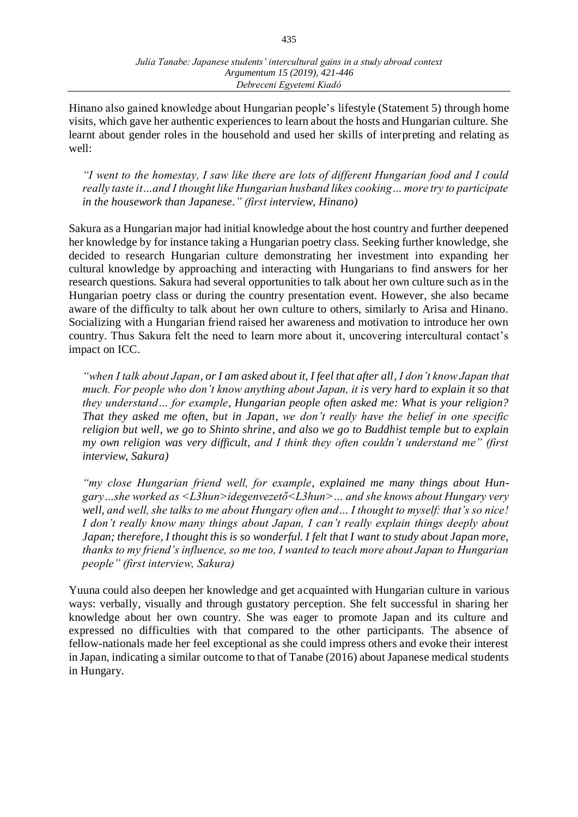Hinano also gained knowledge about Hungarian people's lifestyle (Statement 5) through home visits, which gave her authentic experiences to learn about the hosts and Hungarian culture. She learnt about gender roles in the household and used her skills of interpreting and relating as well:

*"I went to the homestay, I saw like there are lots of different Hungarian food and I could really taste it…and I thought like Hungarian husband likes cooking… more try to participate in the housework than Japanese." (first interview, Hinano)*

Sakura as a Hungarian major had initial knowledge about the host country and further deepened her knowledge by for instance taking a Hungarian poetry class. Seeking further knowledge, she decided to research Hungarian culture demonstrating her investment into expanding her cultural knowledge by approaching and interacting with Hungarians to find answers for her research questions. Sakura had several opportunities to talk about her own culture such as in the Hungarian poetry class or during the country presentation event. However, she also became aware of the difficulty to talk about her own culture to others, similarly to Arisa and Hinano. Socializing with a Hungarian friend raised her awareness and motivation to introduce her own country. Thus Sakura felt the need to learn more about it, uncovering intercultural contact's impact on ICC.

*"when I talk about Japan, or I am asked about it, I feel that after all, I don't know Japan that much. For people who don't know anything about Japan, it is very hard to explain it so that they understand… for example, Hungarian people often asked me: What is your religion? That they asked me often, but in Japan, we don't really have the belief in one specific religion but well, we go to Shinto shrine, and also we go to Buddhist temple but to explain my own religion was very difficult, and I think they often couldn't understand me" (first interview, Sakura)*

*"my close Hungarian friend well, for example, explained me many things about Hungary…she worked as <L3hun>idegenvezető<L3hun>… and she knows about Hungary very well, and well, she talks to me about Hungary often and… I thought to myself: that's so nice! I don't really know many things about Japan, I can't really explain things deeply about Japan; therefore, I thought this is so wonderful. I felt that I want to study about Japan more, thanks to my friend's influence, so me too, I wanted to teach more about Japan to Hungarian people" (first interview, Sakura)*

Yuuna could also deepen her knowledge and get acquainted with Hungarian culture in various ways: verbally, visually and through gustatory perception. She felt successful in sharing her knowledge about her own country. She was eager to promote Japan and its culture and expressed no difficulties with that compared to the other participants. The absence of fellow-nationals made her feel exceptional as she could impress others and evoke their interest in Japan, indicating a similar outcome to that of Tanabe (2016) about Japanese medical students in Hungary.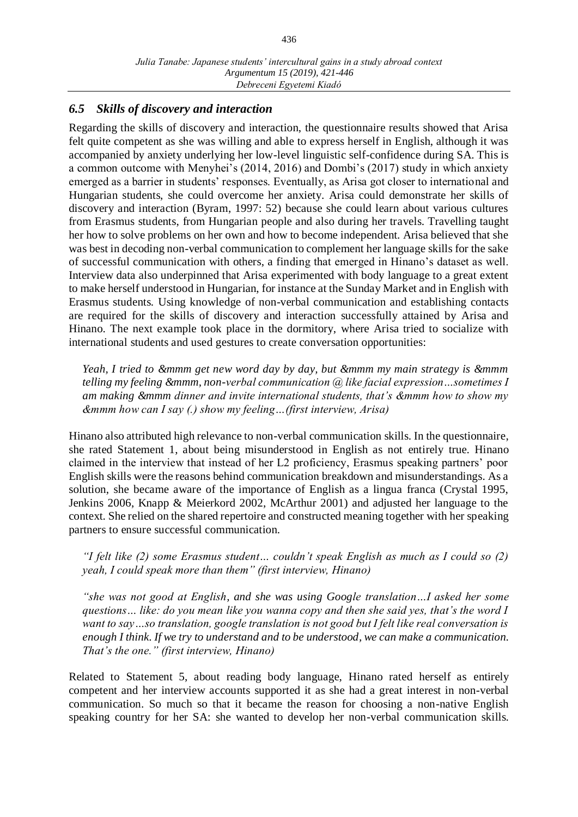# *6.5 Skills of discovery and interaction*

Regarding the skills of discovery and interaction, the questionnaire results showed that Arisa felt quite competent as she was willing and able to express herself in English, although it was accompanied by anxiety underlying her low-level linguistic self-confidence during SA. This is a common outcome with Menyhei's (2014, 2016) and Dombi's (2017) study in which anxiety emerged as a barrier in students' responses. Eventually, as Arisa got closer to international and Hungarian students, she could overcome her anxiety. Arisa could demonstrate her skills of discovery and interaction (Byram, 1997: 52) because she could learn about various cultures from Erasmus students, from Hungarian people and also during her travels. Travelling taught her how to solve problems on her own and how to become independent. Arisa believed that she was best in decoding non-verbal communication to complement her language skills for the sake of successful communication with others, a finding that emerged in Hinano's dataset as well. Interview data also underpinned that Arisa experimented with body language to a great extent to make herself understood in Hungarian, for instance at the Sunday Market and in English with Erasmus students. Using knowledge of non-verbal communication and establishing contacts are required for the skills of discovery and interaction successfully attained by Arisa and Hinano. The next example took place in the dormitory, where Arisa tried to socialize with international students and used gestures to create conversation opportunities:

*Yeah, I tried to &mmm get new word day by day, but &mmm my main strategy is &mmm telling my feeling &mmm, non-verbal communication @ like facial expression…sometimes I am making &mmm dinner and invite international students, that's &mmm how to show my &mmm how can I say (.) show my feeling…(first interview, Arisa)*

Hinano also attributed high relevance to non-verbal communication skills. In the questionnaire, she rated Statement 1, about being misunderstood in English as not entirely true. Hinano claimed in the interview that instead of her L2 proficiency, Erasmus speaking partners' poor English skills were the reasons behind communication breakdown and misunderstandings. As a solution, she became aware of the importance of English as a lingua franca (Crystal 1995, Jenkins 2006, Knapp & Meierkord 2002, McArthur 2001) and adjusted her language to the context. She relied on the shared repertoire and constructed meaning together with her speaking partners to ensure successful communication.

*"I felt like (2) some Erasmus student… couldn't speak English as much as I could so (2) yeah, I could speak more than them" (first interview, Hinano)*

*"she was not good at English, and she was using Google translation…I asked her some questions… like: do you mean like you wanna copy and then she said yes, that's the word I want to say…so translation, google translation is not good but I felt like real conversation is enough I think. If we try to understand and to be understood, we can make a communication. That's the one." (first interview, Hinano)*

Related to Statement 5, about reading body language, Hinano rated herself as entirely competent and her interview accounts supported it as she had a great interest in non-verbal communication. So much so that it became the reason for choosing a non-native English speaking country for her SA: she wanted to develop her non-verbal communication skills.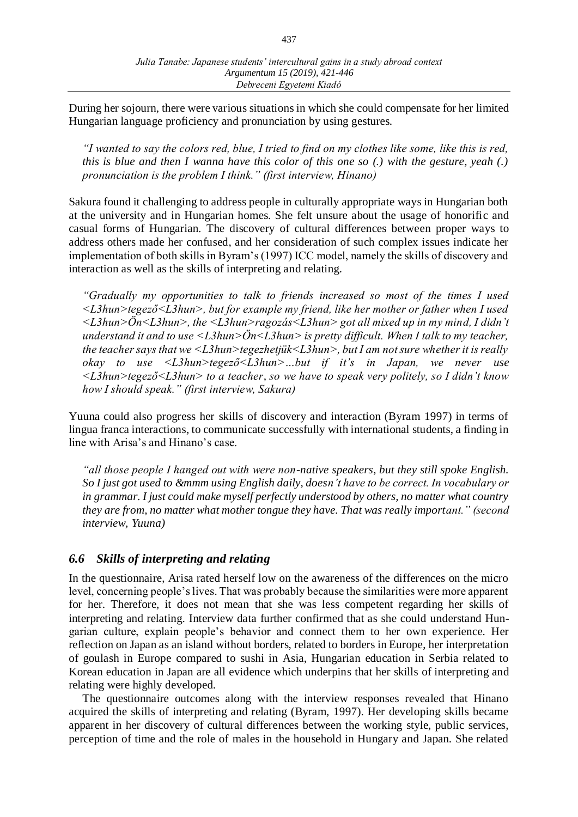During her sojourn, there were various situations in which she could compensate for her limited Hungarian language proficiency and pronunciation by using gestures.

*"I wanted to say the colors red, blue, I tried to find on my clothes like some, like this is red, this is blue and then I wanna have this color of this one so (.) with the gesture, yeah (.) pronunciation is the problem I think." (first interview, Hinano)*

Sakura found it challenging to address people in culturally appropriate ways in Hungarian both at the university and in Hungarian homes. She felt unsure about the usage of honorific and casual forms of Hungarian. The discovery of cultural differences between proper ways to address others made her confused, and her consideration of such complex issues indicate her implementation of both skills in Byram's (1997) ICC model, namely the skills of discovery and interaction as well as the skills of interpreting and relating.

*"Gradually my opportunities to talk to friends increased so most of the times I used <L3hun>tegező<L3hun>, but for example my friend, like her mother or father when I used <L3hun>Ön<L3hun>, the <L3hun>ragozás<L3hun> got all mixed up in my mind, I didn't understand it and to use <L3hun>Ön<L3hun> is pretty difficult. When I talk to my teacher, the teacher says that we <L3hun>tegezhetjük<L3hun>, but I am not sure whether it is really okay to use <L3hun>tegező<L3hun>…but if it's in Japan, we never use <L3hun>tegező<L3hun> to a teacher, so we have to speak very politely, so I didn't know how I should speak." (first interview, Sakura)*

Yuuna could also progress her skills of discovery and interaction (Byram 1997) in terms of lingua franca interactions, to communicate successfully with international students, a finding in line with Arisa's and Hinano's case.

*"all those people I hanged out with were non-native speakers, but they still spoke English. So I just got used to &mmm using English daily, doesn't have to be correct. In vocabulary or in grammar. I just could make myself perfectly understood by others, no matter what country they are from, no matter what mother tongue they have. That was really important." (second interview, Yuuna)*

## *6.6 Skills of interpreting and relating*

In the questionnaire, Arisa rated herself low on the awareness of the differences on the micro level, concerning people's lives. That was probably because the similarities were more apparent for her. Therefore, it does not mean that she was less competent regarding her skills of interpreting and relating. Interview data further confirmed that as she could understand Hungarian culture, explain people's behavior and connect them to her own experience. Her reflection on Japan as an island without borders, related to borders in Europe, her interpretation of goulash in Europe compared to sushi in Asia, Hungarian education in Serbia related to Korean education in Japan are all evidence which underpins that her skills of interpreting and relating were highly developed.

The questionnaire outcomes along with the interview responses revealed that Hinano acquired the skills of interpreting and relating (Byram, 1997). Her developing skills became apparent in her discovery of cultural differences between the working style, public services, perception of time and the role of males in the household in Hungary and Japan. She related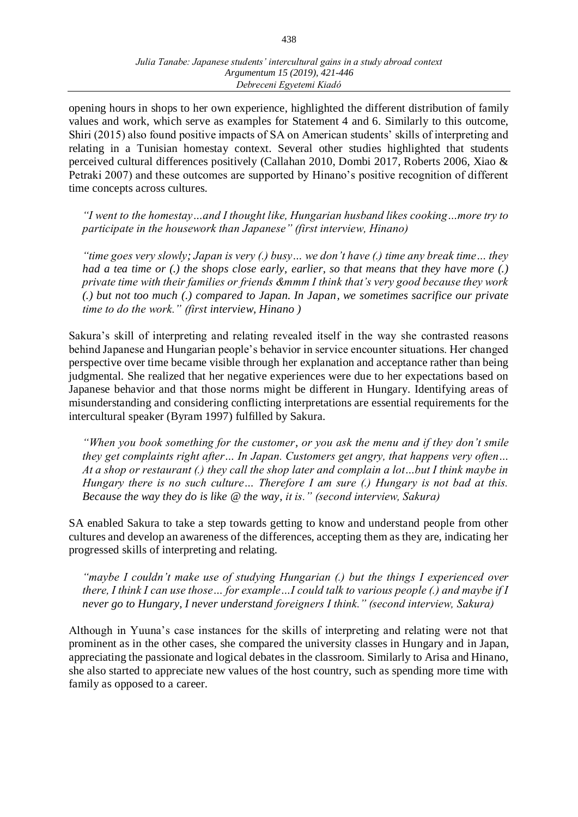opening hours in shops to her own experience, highlighted the different distribution of family values and work, which serve as examples for Statement 4 and 6. Similarly to this outcome, Shiri (2015) also found positive impacts of SA on American students' skills of interpreting and relating in a Tunisian homestay context. Several other studies highlighted that students perceived cultural differences positively (Callahan 2010, Dombi 2017, Roberts 2006, Xiao & Petraki 2007) and these outcomes are supported by Hinano's positive recognition of different time concepts across cultures.

*"I went to the homestay…and I thought like, Hungarian husband likes cooking…more try to participate in the housework than Japanese" (first interview, Hinano)*

*"time goes very slowly; Japan is very (.) busy… we don't have (.) time any break time… they had a tea time or (.) the shops close early, earlier, so that means that they have more (.) private time with their families or friends &mmm I think that's very good because they work (.) but not too much (.) compared to Japan. In Japan, we sometimes sacrifice our private time to do the work." (first interview, Hinano )* 

Sakura's skill of interpreting and relating revealed itself in the way she contrasted reasons behind Japanese and Hungarian people's behavior in service encounter situations. Her changed perspective over time became visible through her explanation and acceptance rather than being judgmental. She realized that her negative experiences were due to her expectations based on Japanese behavior and that those norms might be different in Hungary. Identifying areas of misunderstanding and considering conflicting interpretations are essential requirements for the intercultural speaker (Byram 1997) fulfilled by Sakura.

*"When you book something for the customer, or you ask the menu and if they don't smile they get complaints right after… In Japan. Customers get angry, that happens very often… At a shop or restaurant (.) they call the shop later and complain a lot…but I think maybe in Hungary there is no such culture… Therefore I am sure (.) Hungary is not bad at this. Because the way they do is like @ the way, it is." (second interview, Sakura)*

SA enabled Sakura to take a step towards getting to know and understand people from other cultures and develop an awareness of the differences, accepting them as they are, indicating her progressed skills of interpreting and relating.

*"maybe I couldn't make use of studying Hungarian (.) but the things I experienced over there, I think I can use those… for example…I could talk to various people (.) and maybe if I never go to Hungary, I never understand foreigners I think." (second interview, Sakura)*

Although in Yuuna's case instances for the skills of interpreting and relating were not that prominent as in the other cases, she compared the university classes in Hungary and in Japan, appreciating the passionate and logical debates in the classroom. Similarly to Arisa and Hinano, she also started to appreciate new values of the host country, such as spending more time with family as opposed to a career.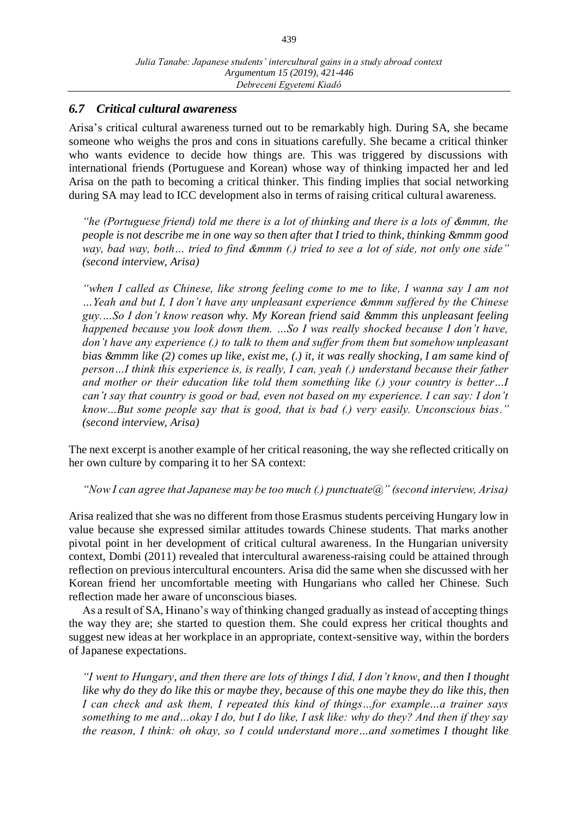## *6.7 Critical cultural awareness*

Arisa's critical cultural awareness turned out to be remarkably high. During SA, she became someone who weighs the pros and cons in situations carefully. She became a critical thinker who wants evidence to decide how things are. This was triggered by discussions with international friends (Portuguese and Korean) whose way of thinking impacted her and led Arisa on the path to becoming a critical thinker. This finding implies that social networking during SA may lead to ICC development also in terms of raising critical cultural awareness.

*"he (Portuguese friend) told me there is a lot of thinking and there is a lots of &mmm, the people is not describe me in one way so then after that I tried to think, thinking &mmm good way, bad way, both… tried to find &mmm (.) tried to see a lot of side, not only one side" (second interview, Arisa)*

*"when I called as Chinese, like strong feeling come to me to like, I wanna say I am not …Yeah and but I, I don't have any unpleasant experience &mmm suffered by the Chinese guy.…So I don't know reason why. My Korean friend said &mmm this unpleasant feeling happened because you look down them. ...So I was really shocked because I don't have, don't have any experience (.) to talk to them and suffer from them but somehow unpleasant bias &mmm like (2) comes up like, exist me, (.) it, it was really shocking, I am same kind of person…I think this experience is, is really, I can, yeah (.) understand because their father and mother or their education like told them something like (.) your country is better…I can't say that country is good or bad, even not based on my experience. I can say: I don't know…But some people say that is good, that is bad (.) very easily. Unconscious bias." (second interview, Arisa)*

The next excerpt is another example of her critical reasoning, the way she reflected critically on her own culture by comparing it to her SA context:

*"Now I can agree that Japanese may be too much (.) punctuate@" (second interview, Arisa)*

Arisa realized that she was no different from those Erasmus students perceiving Hungary low in value because she expressed similar attitudes towards Chinese students. That marks another pivotal point in her development of critical cultural awareness. In the Hungarian university context, Dombi (2011) revealed that intercultural awareness-raising could be attained through reflection on previous intercultural encounters. Arisa did the same when she discussed with her Korean friend her uncomfortable meeting with Hungarians who called her Chinese. Such reflection made her aware of unconscious biases.

As a result of SA, Hinano's way of thinking changed gradually as instead of accepting things the way they are; she started to question them. She could express her critical thoughts and suggest new ideas at her workplace in an appropriate, context-sensitive way, within the borders of Japanese expectations.

*"I went to Hungary, and then there are lots of things I did, I don't know, and then I thought like why do they do like this or maybe they, because of this one maybe they do like this, then I can check and ask them, I repeated this kind of things…for example…a trainer says something to me and…okay I do, but I do like, I ask like: why do they? And then if they say the reason, I think: oh okay, so I could understand more…and sometimes I thought like*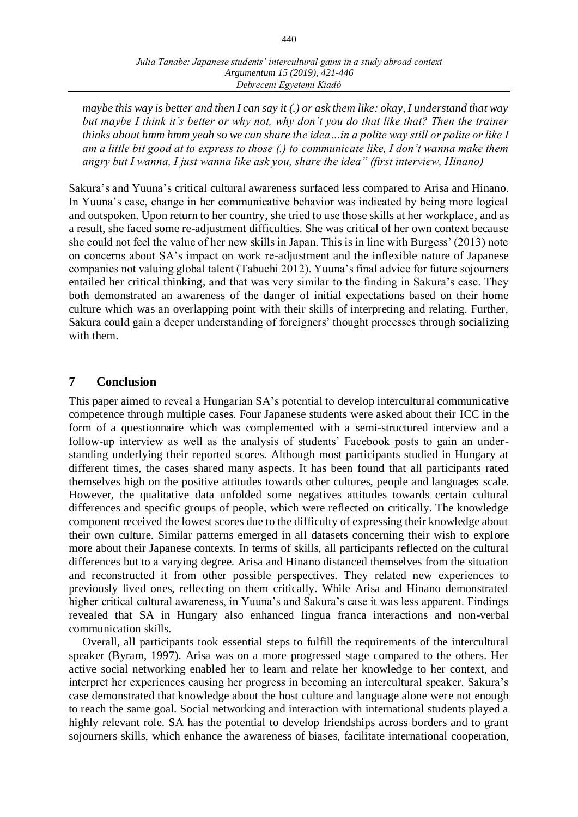*maybe this way is better and then I can say it (.) or ask them like: okay, I understand that way but maybe I think it's better or why not, why don't you do that like that? Then the trainer thinks about hmm hmm yeah so we can share the idea…in a polite way still or polite or like I am a little bit good at to express to those (.) to communicate like, I don't wanna make them angry but I wanna, I just wanna like ask you, share the idea" (first interview, Hinano)* 

Sakura's and Yuuna's critical cultural awareness surfaced less compared to Arisa and Hinano. In Yuuna's case, change in her communicative behavior was indicated by being more logical and outspoken. Upon return to her country, she tried to use those skills at her workplace, and as a result, she faced some re-adjustment difficulties. She was critical of her own context because she could not feel the value of her new skills in Japan. This is in line with Burgess' (2013) note on concerns about SA's impact on work re-adjustment and the inflexible nature of Japanese companies not valuing global talent (Tabuchi 2012). Yuuna's final advice for future sojourners entailed her critical thinking, and that was very similar to the finding in Sakura's case. They both demonstrated an awareness of the danger of initial expectations based on their home culture which was an overlapping point with their skills of interpreting and relating. Further, Sakura could gain a deeper understanding of foreigners' thought processes through socializing with them.

#### **7 Conclusion**

This paper aimed to reveal a Hungarian SA's potential to develop intercultural communicative competence through multiple cases. Four Japanese students were asked about their ICC in the form of a questionnaire which was complemented with a semi-structured interview and a follow-up interview as well as the analysis of students' Facebook posts to gain an understanding underlying their reported scores. Although most participants studied in Hungary at different times, the cases shared many aspects. It has been found that all participants rated themselves high on the positive attitudes towards other cultures, people and languages scale. However, the qualitative data unfolded some negatives attitudes towards certain cultural differences and specific groups of people, which were reflected on critically. The knowledge component received the lowest scores due to the difficulty of expressing their knowledge about their own culture. Similar patterns emerged in all datasets concerning their wish to explore more about their Japanese contexts. In terms of skills, all participants reflected on the cultural differences but to a varying degree. Arisa and Hinano distanced themselves from the situation and reconstructed it from other possible perspectives. They related new experiences to previously lived ones, reflecting on them critically. While Arisa and Hinano demonstrated higher critical cultural awareness, in Yuuna's and Sakura's case it was less apparent. Findings revealed that SA in Hungary also enhanced lingua franca interactions and non-verbal communication skills.

Overall, all participants took essential steps to fulfill the requirements of the intercultural speaker (Byram, 1997). Arisa was on a more progressed stage compared to the others. Her active social networking enabled her to learn and relate her knowledge to her context, and interpret her experiences causing her progress in becoming an intercultural speaker. Sakura's case demonstrated that knowledge about the host culture and language alone were not enough to reach the same goal. Social networking and interaction with international students played a highly relevant role. SA has the potential to develop friendships across borders and to grant sojourners skills, which enhance the awareness of biases, facilitate international cooperation,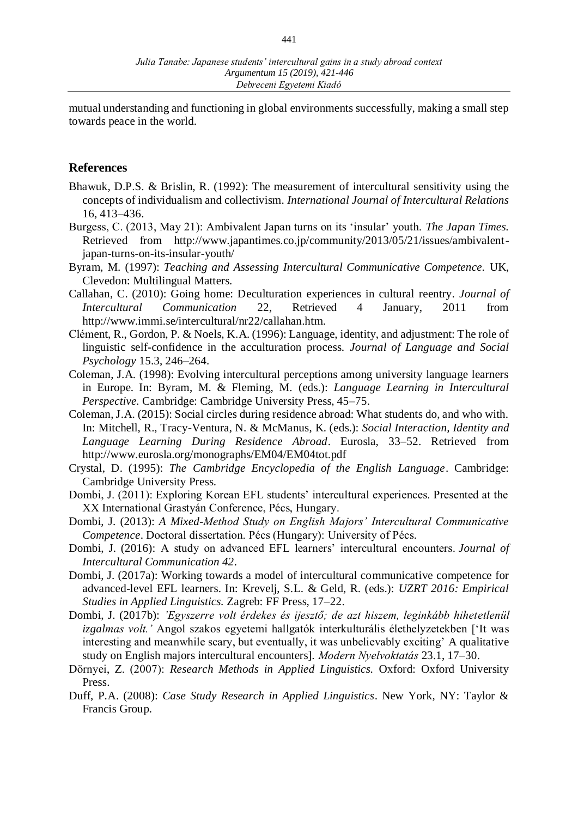mutual understanding and functioning in global environments successfully, making a small step towards peace in the world.

#### **References**

- Bhawuk, D.P.S. & Brislin, R. (1992): The measurement of intercultural sensitivity using the concepts of individualism and collectivism. *International Journal of Intercultural Relations*  16, 413–436.
- Burgess, C. (2013, May 21): Ambivalent Japan turns on its 'insular' youth. *The Japan Times.* Retrieved from http://www.japantimes.co.jp/community/2013/05/21/issues/ambivalentjapan-turns-on-its-insular-youth/
- Byram, M. (1997): *Teaching and Assessing Intercultural Communicative Competence.* UK, Clevedon: Multilingual Matters.
- Callahan, C. (2010): Going home: Deculturation experiences in cultural reentry. *Journal of Intercultural Communication* 22, Retrieved 4 January, 2011 from http://www.immi.se/intercultural/nr22/callahan.htm.
- Clément, R., Gordon, P. & Noels, K.A. (1996): Language, identity, and adjustment: The role of linguistic self-confidence in the acculturation process. *Journal of Language and Social Psychology* 15.3, 246–264.
- Coleman, J.A. (1998): Evolving intercultural perceptions among university language learners in Europe. In: Byram, M. & Fleming, M. (eds.): *Language Learning in Intercultural Perspective.* Cambridge: Cambridge University Press, 45–75.
- Coleman, J.A. (2015): Social circles during residence abroad: What students do, and who with. In: Mitchell, R., Tracy-Ventura, N. & McManus, K. (eds.): *Social Interaction, Identity and Language Learning During Residence Abroad*. Eurosla, 33–52. Retrieved from http://www.eurosla.org/monographs/EM04/EM04tot.pdf
- Crystal, D. (1995): *The Cambridge Encyclopedia of the English Language*. Cambridge: Cambridge University Press.
- Dombi, J. (2011): Exploring Korean EFL students' intercultural experiences. Presented at the XX International Grastyán Conference, Pécs, Hungary.
- Dombi, J. (2013): *A Mixed-Method Study on English Majors' Intercultural Communicative Competence*. Doctoral dissertation. Pécs (Hungary): University of Pécs.
- Dombi, J. (2016): A study on advanced EFL learners' intercultural encounters. *Journal of Intercultural Communication 42*.
- Dombi, J. (2017a): Working towards a model of intercultural communicative competence for advanced-level EFL learners. In: Krevelj, S.L. & Geld, R. (eds.): *UZRT 2016: Empirical Studies in Applied Linguistics.* Zagreb: FF Press, 17–22.
- Dombi, J. (2017b): *'Egyszerre volt érdekes és ijesztő; de azt hiszem, leginkább hihetetlenül izgalmas volt.'* Angol szakos egyetemi hallgatók interkulturális élethelyzetekben ['It was interesting and meanwhile scary, but eventually, it was unbelievably exciting' A qualitative study on English majors intercultural encounters]. *Modern Nyelvoktatás* 23.1, 17–30.
- Dörnyei, Z. (2007): *Research Methods in Applied Linguistics.* Oxford: Oxford University Press.
- Duff, P.A. (2008): *Case Study Research in Applied Linguistics*. New York, NY: Taylor & Francis Group.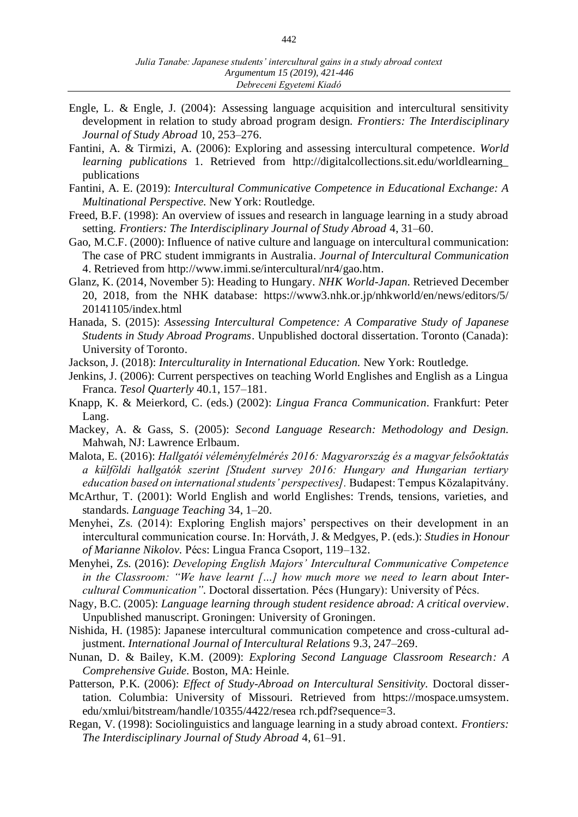- Engle, L. & Engle, J. (2004): Assessing language acquisition and intercultural sensitivity development in relation to study abroad program design. *Frontiers: The Interdisciplinary Journal of Study Abroad* 10, 253–276.
- Fantini, A. & Tirmizi, A. (2006): Exploring and assessing intercultural competence. *World learning publications* 1. Retrieved from http://digitalcollections.sit.edu/worldlearning\_ publications
- Fantini, A. E. (2019): *Intercultural Communicative Competence in Educational Exchange: A Multinational Perspective.* New York: Routledge.
- Freed, B.F. (1998): An overview of issues and research in language learning in a study abroad setting. *Frontiers: The Interdisciplinary Journal of Study Abroad* 4, 31–60.
- Gao, M.C.F. (2000): Influence of native culture and language on intercultural communication: The case of PRC student immigrants in Australia*. Journal of Intercultural Communication*  4. Retrieved from http://www.immi.se/intercultural/nr4/gao.htm.
- Glanz, K. (2014, November 5): Heading to Hungary. *NHK World-Japan.* Retrieved December 20, 2018, from the NHK database: https://www3.nhk.or.jp/nhkworld/en/news/editors/5/ 20141105/index.html
- Hanada, S. (2015): *Assessing Intercultural Competence: A Comparative Study of Japanese Students in Study Abroad Programs*. Unpublished doctoral dissertation. Toronto (Canada): University of Toronto.
- Jackson, J. (2018): *Interculturality in International Education.* New York: Routledge.
- Jenkins, J. (2006): Current perspectives on teaching World Englishes and English as a Lingua Franca. *Tesol Quarterly* 40.1, 157–181.
- Knapp, K. & Meierkord, C. (eds.) (2002): *Lingua Franca Communication*. Frankfurt: Peter Lang.
- Mackey, A. & Gass, S. (2005): *Second Language Research: Methodology and Design.* Mahwah, NJ: Lawrence Erlbaum.
- Malota, E. (2016): *Hallgatói véleményfelmérés 2016: Magyarország és a magyar felsőoktatás a külföldi hallgatók szerint [Student survey 2016: Hungary and Hungarian tertiary education based on international students' perspectives].* Budapest: Tempus Közalapitvány.
- McArthur, T. (2001): World English and world Englishes: Trends, tensions, varieties, and standards. *Language Teaching* 34, 1–20.
- Menyhei, Zs. (2014): Exploring English majors' perspectives on their development in an intercultural communication course. In: Horváth, J. & Medgyes, P. (eds.): *Studies in Honour of Marianne Nikolov.* Pécs: Lingua Franca Csoport, 119–132.
- Menyhei, Zs. (2016): *Developing English Majors' Intercultural Communicative Competence in the Classroom: "We have learnt […] how much more we need to learn about Intercultural Communication".* Doctoral dissertation. Pécs (Hungary): University of Pécs.
- Nagy, B.C. (2005): *Language learning through student residence abroad: A critical overview*. Unpublished manuscript. Groningen: University of Groningen.
- Nishida, H. (1985): Japanese intercultural communication competence and cross-cultural adjustment. *International Journal of Intercultural Relations* 9.3, 247–269.
- Nunan, D. & Bailey, K.M. (2009): *Exploring Second Language Classroom Research: A Comprehensive Guide.* Boston, MA: Heinle.
- Patterson, P.K. (2006): *Effect of Study-Abroad on Intercultural Sensitivity*. Doctoral dissertation. Columbia: University of Missouri. Retrieved from https://mospace.umsystem. edu/xmlui/bitstream/handle/10355/4422/resea rch.pdf?sequence=3.
- Regan, V. (1998): Sociolinguistics and language learning in a study abroad context. *Frontiers: The Interdisciplinary Journal of Study Abroad* 4, 61–91.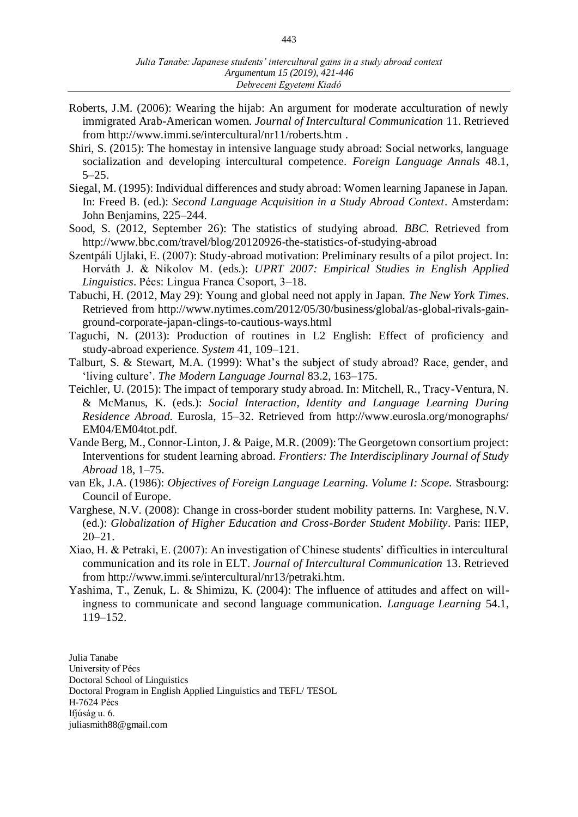- Roberts, J.M. (2006): Wearing the hijab: An argument for moderate acculturation of newly immigrated Arab-American women. *Journal of Intercultural Communication* 11. Retrieved from http://www.immi.se/intercultural/nr11/roberts.htm .
- Shiri, S. (2015): The homestay in intensive language study abroad: Social networks, language socialization and developing intercultural competence. *Foreign Language Annals* 48.1,  $5 - 25.$
- Siegal, M. (1995): Individual differences and study abroad: Women learning Japanese in Japan. In: Freed B. (ed.): *Second Language Acquisition in a Study Abroad Context*. Amsterdam: John Benjamins, 225–244.
- Sood, S. (2012, September 26): The statistics of studying abroad. *BBC.* Retrieved from <http://www.bbc.com/travel/blog/20120926-the-statistics-of-studying-abroad>
- Szentpáli Ujlaki, E. (2007): Study-abroad motivation: Preliminary results of a pilot project. In: Horváth J. & Nikolov M. (eds.): *UPRT 2007: Empirical Studies in English Applied Linguistics*. Pécs: Lingua Franca Csoport, 3–18.
- Tabuchi, H. (2012, May 29): Young and global need not apply in Japan. *The New York Times*. Retrieved from http://www.nytimes.com/2012/05/30/business/global/as-global-rivals-gainground-corporate-japan-clings-to-cautious-ways.html
- Taguchi, N. (2013): Production of routines in L2 English: Effect of proficiency and study-abroad experience. *System* 41*,* 109–121.
- Talburt, S. & Stewart, M.A. (1999): What's the subject of study abroad? Race, gender, and 'living culture'. *The Modern Language Journal* 83.2, 163–175.
- Teichler, U. (2015): The impact of temporary study abroad. In: Mitchell, R., Tracy-Ventura, N. & McManus, K. (eds.): *Social Interaction, Identity and Language Learning During Residence Abroad.* Eurosla, 15–32. Retrieved from http://www.eurosla.org/monographs/ EM04/EM04tot.pdf.
- Vande Berg, M., Connor-Linton, J. & Paige, M.R. (2009): The Georgetown consortium project: Interventions for student learning abroad. *Frontiers: The Interdisciplinary Journal of Study Abroad* 18, 1–75.
- van Ek, J.A. (1986): *Objectives of Foreign Language Learning. Volume I: Scope.* Strasbourg: Council of Europe.
- Varghese, N.V. (2008): Change in cross-border student mobility patterns. In: Varghese, N.V. (ed.): *Globalization of Higher Education and Cross-Border Student Mobility*. Paris: IIEP, 20–21.
- Xiao, H. & Petraki, E. (2007): An investigation of Chinese students' difficulties in intercultural communication and its role in ELT. *Journal of Intercultural Communication* 13. Retrieved from http://www.immi.se/intercultural/nr13/petraki.htm.
- Yashima, T., Zenuk, L. & Shimizu, K. (2004): The influence of attitudes and affect on willingness to communicate and second language communication. *Language Learning* 54.1, 119–152.

Julia Tanabe University of Pécs Doctoral School of Linguistics Doctoral Program in English Applied Linguistics and TEFL/ TESOL H-7624 Pécs Ifjúság u. 6. [juliasmith88@gmail.com](mailto:juliasmith88@gmail.com)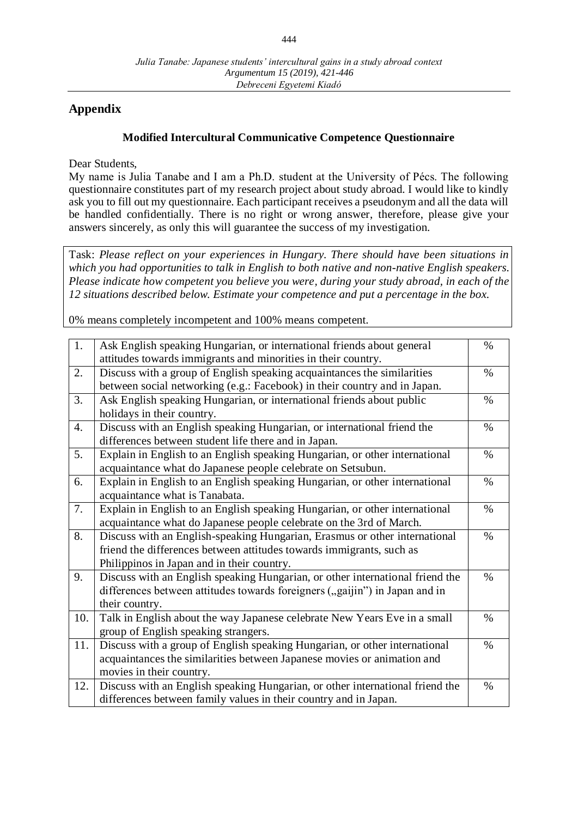# **Appendix**

## **Modified Intercultural Communicative Competence Questionnaire**

Dear Students,

My name is Julia Tanabe and I am a Ph.D. student at the University of Pécs. The following questionnaire constitutes part of my research project about study abroad. I would like to kindly ask you to fill out my questionnaire. Each participant receives a pseudonym and all the data will be handled confidentially. There is no right or wrong answer, therefore, please give your answers sincerely, as only this will guarantee the success of my investigation.

Task: *Please reflect on your experiences in Hungary. There should have been situations in which you had opportunities to talk in English to both native and non-native English speakers. Please indicate how competent you believe you were, during your study abroad, in each of the 12 situations described below. Estimate your competence and put a percentage in the box.*

0% means completely incompetent and 100% means competent.

| 1.  | Ask English speaking Hungarian, or international friends about general        | $\%$ |
|-----|-------------------------------------------------------------------------------|------|
|     | attitudes towards immigrants and minorities in their country.                 |      |
| 2.  | Discuss with a group of English speaking acquaintances the similarities       | $\%$ |
|     | between social networking (e.g.: Facebook) in their country and in Japan.     |      |
| 3.  | Ask English speaking Hungarian, or international friends about public         | $\%$ |
|     | holidays in their country.                                                    |      |
| 4.  | Discuss with an English speaking Hungarian, or international friend the       | $\%$ |
|     | differences between student life there and in Japan.                          |      |
| 5.  | Explain in English to an English speaking Hungarian, or other international   | $\%$ |
|     | acquaintance what do Japanese people celebrate on Setsubun.                   |      |
| 6.  | Explain in English to an English speaking Hungarian, or other international   | $\%$ |
|     | acquaintance what is Tanabata.                                                |      |
| 7.  | Explain in English to an English speaking Hungarian, or other international   | $\%$ |
|     | acquaintance what do Japanese people celebrate on the 3rd of March.           |      |
| 8.  | Discuss with an English-speaking Hungarian, Erasmus or other international    | $\%$ |
|     | friend the differences between attitudes towards immigrants, such as          |      |
|     | Philippinos in Japan and in their country.                                    |      |
| 9.  | Discuss with an English speaking Hungarian, or other international friend the | $\%$ |
|     | differences between attitudes towards foreigners ("gaijin") in Japan and in   |      |
|     | their country.                                                                |      |
| 10. | Talk in English about the way Japanese celebrate New Years Eve in a small     | $\%$ |
|     | group of English speaking strangers.                                          |      |
| 11. | Discuss with a group of English speaking Hungarian, or other international    | $\%$ |
|     | acquaintances the similarities between Japanese movies or animation and       |      |
|     | movies in their country.                                                      |      |
| 12. | Discuss with an English speaking Hungarian, or other international friend the | $\%$ |
|     | differences between family values in their country and in Japan.              |      |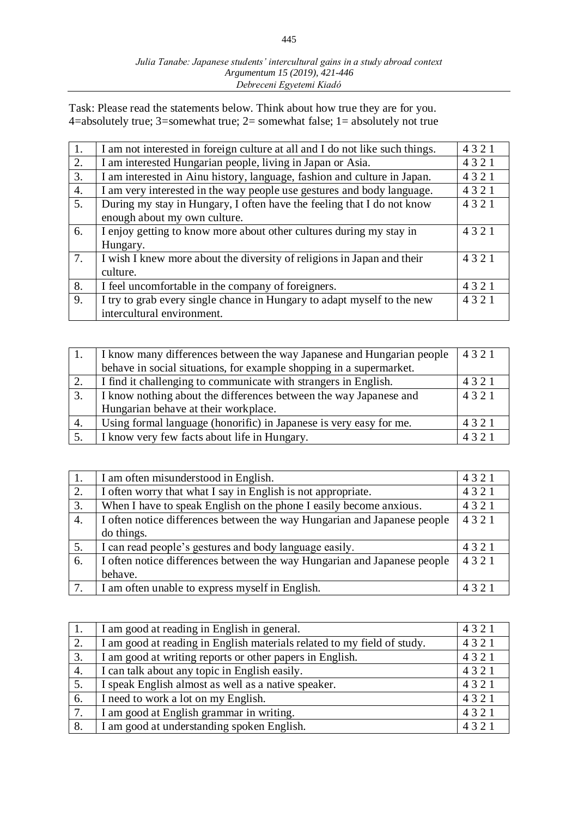#### *Julia Tanabe: Japanese students' intercultural gains in a study abroad context Argumentum 15 (2019), 421-446 Debreceni Egyetemi Kiadó*

Task: Please read the statements below. Think about how true they are for you. 4=absolutely true; 3=somewhat true; 2= somewhat false; 1= absolutely not true

| 1.               | I am not interested in foreign culture at all and I do not like such things. | 4321 |
|------------------|------------------------------------------------------------------------------|------|
| 2.               | I am interested Hungarian people, living in Japan or Asia.                   | 4321 |
| 3.               | I am interested in Ainu history, language, fashion and culture in Japan.     | 4321 |
| $\overline{4}$ . | I am very interested in the way people use gestures and body language.       | 4321 |
| 5.               | During my stay in Hungary, I often have the feeling that I do not know       | 4321 |
|                  | enough about my own culture.                                                 |      |
| 6.               | I enjoy getting to know more about other cultures during my stay in          | 4321 |
|                  | Hungary.                                                                     |      |
| 7.               | I wish I knew more about the diversity of religions in Japan and their       | 4321 |
|                  | culture.                                                                     |      |
| 8.               | I feel uncomfortable in the company of foreigners.                           | 4321 |
| 9.               | I try to grab every single chance in Hungary to adapt myself to the new      | 4321 |
|                  | intercultural environment.                                                   |      |
|                  |                                                                              |      |

|    | I know many differences between the way Japanese and Hungarian people | 4321 |
|----|-----------------------------------------------------------------------|------|
|    | behave in social situations, for example shopping in a supermarket.   |      |
| 2. | I find it challenging to communicate with strangers in English.       | 4321 |
| 3. | I know nothing about the differences between the way Japanese and     | 4321 |
|    | Hungarian behave at their workplace.                                  |      |
| 4. | Using formal language (honorific) in Japanese is very easy for me.    | 4321 |
| 5. | I know very few facts about life in Hungary.                          | 4321 |

| 1. | I am often misunderstood in English.                                     | 4321 |
|----|--------------------------------------------------------------------------|------|
| 2. | I often worry that what I say in English is not appropriate.             | 4321 |
| 3. | When I have to speak English on the phone I easily become anxious.       | 4321 |
| 4. | I often notice differences between the way Hungarian and Japanese people | 4321 |
|    | do things.                                                               |      |
| 5. | I can read people's gestures and body language easily.                   | 4321 |
| 6. | I often notice differences between the way Hungarian and Japanese people | 4321 |
|    | behave.                                                                  |      |
| 7. | I am often unable to express myself in English.                          | 4321 |

| 1. | I am good at reading in English in general.                             | 4321 |
|----|-------------------------------------------------------------------------|------|
| 2. | I am good at reading in English materials related to my field of study. | 4321 |
| 3. | I am good at writing reports or other papers in English.                | 4321 |
| 4. | I can talk about any topic in English easily.                           | 4321 |
| 5. | I speak English almost as well as a native speaker.                     | 4321 |
| 6. | I need to work a lot on my English.                                     | 4321 |
| 7. | I am good at English grammar in writing.                                | 4321 |
| 8. | I am good at understanding spoken English.                              | 4321 |